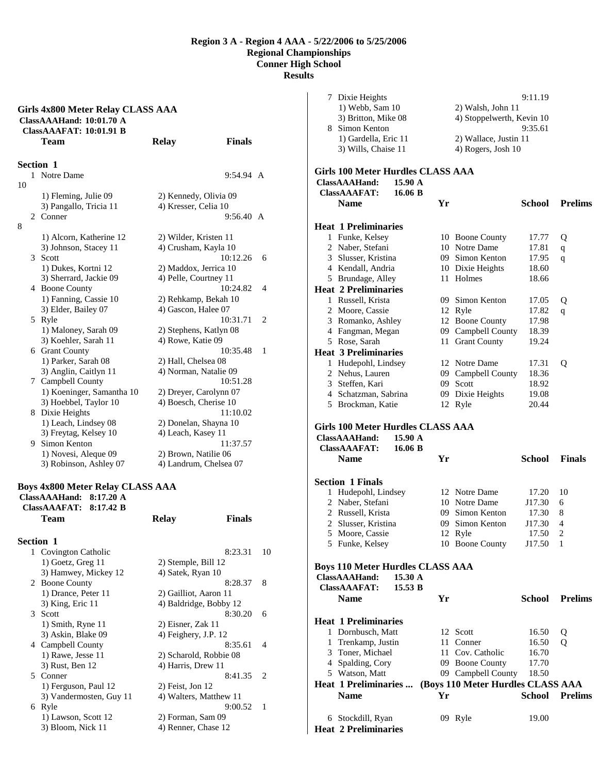|                  | <b>ClassAAAFAT: 10:01.91 B</b><br><b>Team</b> | <b>Relay</b>                                | <b>Finals</b> |              |
|------------------|-----------------------------------------------|---------------------------------------------|---------------|--------------|
| <b>Section 1</b> |                                               |                                             |               |              |
|                  | 1 Notre Dame                                  |                                             | 9:54.94 A     |              |
| 10               |                                               |                                             |               |              |
|                  | 1) Fleming, Julie 09                          | 2) Kennedy, Olivia 09                       |               |              |
|                  | 3) Pangallo, Tricia 11                        | 4) Kresser, Celia 10                        |               |              |
|                  | 2 Conner                                      |                                             | 9:56.40 A     |              |
| 8                |                                               |                                             |               |              |
|                  | 1) Alcorn, Katherine 12                       | 2) Wilder, Kristen 11                       |               |              |
|                  | 3) Johnson, Stacey 11                         | 4) Crusham, Kayla 10                        |               |              |
| 3 Scott          |                                               |                                             | 10:12.26      | 6            |
|                  | 1) Dukes, Kortni 12                           | 2) Maddox, Jerrica 10                       |               |              |
|                  | 3) Sherrard, Jackie 09                        | 4) Pelle, Courtney 11                       |               |              |
|                  | 4 Boone County                                |                                             | 10:24.82      | 4            |
|                  | 1) Fanning, Cassie 10                         | 2) Rehkamp, Bekah 10                        |               |              |
|                  | 3) Elder, Bailey 07                           | 4) Gascon, Halee 07                         | 10:31.71      | 2            |
| 5 Ryle           |                                               |                                             |               |              |
|                  | 1) Maloney, Sarah 09<br>3) Koehler, Sarah 11  | 2) Stephens, Katlyn 08<br>4) Rowe, Katie 09 |               |              |
|                  | 6 Grant County                                |                                             | 10:35.48      | $\mathbf{1}$ |
|                  | 1) Parker, Sarah 08                           | 2) Hall, Chelsea 08                         |               |              |
|                  | 3) Anglin, Caitlyn 11                         | 4) Norman, Natalie 09                       |               |              |
|                  | 7 Campbell County                             |                                             | 10:51.28      |              |
|                  | 1) Koeninger, Samantha 10                     | 2) Dreyer, Carolynn 07                      |               |              |
|                  | 3) Hoebbel, Taylor 10                         | 4) Boesch, Cherise 10                       |               |              |
|                  | 8 Dixie Heights                               |                                             | 11:10.02      |              |
|                  | 1) Leach, Lindsey 08                          | 2) Donelan, Shayna 10                       |               |              |
|                  | 3) Freytag, Kelsey 10                         | 4) Leach, Kasey 11                          |               |              |
|                  | 9 Simon Kenton                                |                                             | 11:37.57      |              |
|                  | 1) Novesi, Aleque 09                          | 2) Brown, Natilie 06                        |               |              |
|                  | 3) Robinson, Ashley 07                        | 4) Landrum, Chelsea 07                      |               |              |

## **Boys 4x800 Meter Relay CLASS AAA**

| ClassAAAHand:<br>$8:17.20 \text{ A}$  |                        |    |
|---------------------------------------|------------------------|----|
| ClassAAAFAT: 8:17.42 B<br><b>Team</b> | <b>Finals</b><br>Relay |    |
| <b>Section 1</b>                      |                        |    |
| Covington Catholic<br>1               | 8:23.31                | 10 |
| $1)$ Goetz, Greg $11$                 | 2) Stemple, Bill 12    |    |
| 3) Hamwey, Mickey 12                  | 4) Satek, Ryan 10      |    |
| 2 Boone County                        | 8:28.37                | 8  |
| 1) Drance, Peter 11                   | 2) Gailliot, Aaron 11  |    |
| $3)$ King, Eric 11                    | 4) Baldridge, Bobby 12 |    |
| 3<br>Scott                            | 8:30.20                | 6  |
| 1) Smith, Ryne 11                     | 2) Eisner, Zak 11      |    |
| 3) Askin, Blake 09                    | 4) Feighery, J.P. 12   |    |
| 4 Campbell County                     | 8:35.61                | 4  |
| 1) Rawe, Jesse 11                     | 2) Scharold, Robbie 08 |    |
| 3) Rust, Ben 12                       | 4) Harris, Drew 11     |    |
| 5 Conner                              | 8:41.35                | 2  |
| 1) Ferguson, Paul 12                  | $2)$ Feist, Jon 12     |    |
| 3) Vandermosten, Guy 11               | 4) Walters, Matthew 11 |    |
| Ryle<br>6                             | 9:00.52                | 1  |
| 1) Lawson, Scott 12                   | 2) Forman, Sam 09      |    |
| 3) Bloom, Nick 11                     | 4) Renner, Chase 12    |    |
|                                       |                        |    |

| 6 Stockdill, Ryan<br><b>Heat 2 Preliminaries</b> |    | 09 Ryle                           | 19.00          |                |
|--------------------------------------------------|----|-----------------------------------|----------------|----------------|
|                                                  |    |                                   |                |                |
| <b>Name</b>                                      | Yr |                                   | School         | <b>Prelims</b> |
| <b>Heat 1 Preliminaries </b>                     |    | (Boys 110 Meter Hurdles CLASS AAA |                |                |
| 5 Watson, Matt                                   |    | 09 Campbell County                | 18.50          |                |
| 4 Spalding, Cory                                 |    | 09 Boone County                   | 17.70          |                |
| 3 Toner, Michael                                 |    | 11 Cov. Catholic                  | 16.70          |                |
| 1 Trenkamp, Justin                               |    | 11 Conner                         | 16.50          | о              |
| 1 Dornbusch, Matt                                |    | 12 Scott                          | 16.50          | Q              |
| <b>Heat 1 Preliminaries</b>                      |    |                                   |                |                |
|                                                  |    |                                   |                |                |
| <b>Name</b>                                      | Yr |                                   | School         | <b>Prelims</b> |
| 15.53 B<br><b>ClassAAAFAT:</b>                   |    |                                   |                |                |
| <b>ClassAAAHand:</b><br>$15.30 \text{ A}$        |    |                                   |                |                |
| <b>Boys 110 Meter Hurdles CLASS AAA</b>          |    |                                   |                |                |
|                                                  |    |                                   |                |                |
| 5 Funke, Kelsey                                  |    | 10 Boone County                   | J17.50         | 1              |
| 5 Moore, Cassie                                  |    | 12 Ryle                           | 17.50          | $\overline{c}$ |
| $\mathbf{2}$<br>Slusser, Kristina                |    | 09 Simon Kenton                   | J17.30         | 4              |
| 2 Russell, Krista                                |    | 09 Simon Kenton                   | 17.30          | 8              |
| 2 Naber, Stefani                                 |    | 10 Notre Dame                     | J17.30         | 6              |
| 1 Hudepohl, Lindsey                              |    | 12 Notre Dame                     | 17.20          | 10             |
| <b>Section 1 Finals</b>                          |    |                                   |                |                |
|                                                  |    |                                   |                |                |
| <b>Name</b>                                      | Yr |                                   | <b>School</b>  | <b>Finals</b>  |
| <b>ClassAAAFAT:</b><br>16.06 B                   |    |                                   |                |                |
| ClassAAAHand:<br>15.90 A                         |    |                                   |                |                |
| Girls 100 Meter Hurdles CLASS AAA                |    |                                   |                |                |
| 5 Brockman, Katie                                |    | 12 Ryle                           | 20.44          |                |
|                                                  |    | 09 Dixie Heights                  | 19.08          |                |
| 4 Schatzman, Sabrina                             |    |                                   |                |                |
| 3 Steffen, Kari                                  |    | 09 Scott                          | 18.92          |                |
| 2 Nehus, Lauren                                  |    | 09 Campbell County                | 17.31<br>18.36 | Q              |
| 1 Hudepohl, Lindsey                              |    | 12 Notre Dame                     |                |                |
| <b>Heat 3 Preliminaries</b>                      |    |                                   |                |                |
| 5 Rose, Sarah                                    |    | 11 Grant County                   | 19.24          |                |
| 4 Fangman, Megan                                 |    | 09 Campbell County                | 18.39          |                |
| 3 Romanko, Ashley                                |    | 12 Boone County                   | 17.98          |                |
| 2 Moore, Cassie                                  |    | 12 Ryle                           | 17.82          | q              |
| 1 Russell, Krista                                |    | 09 Simon Kenton                   | 17.05          | Q              |
| <b>Heat 2 Preliminaries</b>                      |    |                                   |                |                |
| 5 Brundage, Alley                                |    | 11 Holmes                         | 18.66          |                |
| 4 Kendall, Andria                                |    | 10 Dixie Heights                  | 18.60          |                |
| 3 Slusser, Kristina                              |    | 09 Simon Kenton                   | 17.95          | q              |
| 2 Naber, Stefani                                 |    | 10 Notre Dame                     | 17.81          | q              |
| 1 Funke, Kelsey                                  |    | 10 Boone County                   | 17.77          | Q              |
| <b>Heat 1 Preliminaries</b>                      |    |                                   |                |                |
|                                                  |    |                                   |                |                |
| Name                                             | Yr |                                   | School         | <b>Prelims</b> |
| <b>ClassAAAFAT:</b><br>16.06 B                   |    |                                   |                |                |
| <b>ClassAAAHand:</b><br>$15.90 \text{ A}$        |    |                                   |                |                |
| Girls 100 Meter Hurdles CLASS AAA                |    |                                   |                |                |
|                                                  |    |                                   |                |                |
| 3) Wills, Chaise 11                              |    | 4) Rogers, Josh 10                |                |                |
| 1) Gardella, Eric 11                             |    | 2) Wallace, Justin 11             |                |                |
| 8 Simon Kenton                                   |    |                                   | 9:35.61        |                |
| 3) Britton, Mike 08                              |    | 4) Stoppelwerth, Kevin 10         |                |                |
| 1) Webb, Sam 10                                  |    | 2) Walsh, John 11                 |                |                |
| 7 Dixie Heights                                  |    |                                   | 9:11.19        |                |
|                                                  |    |                                   |                |                |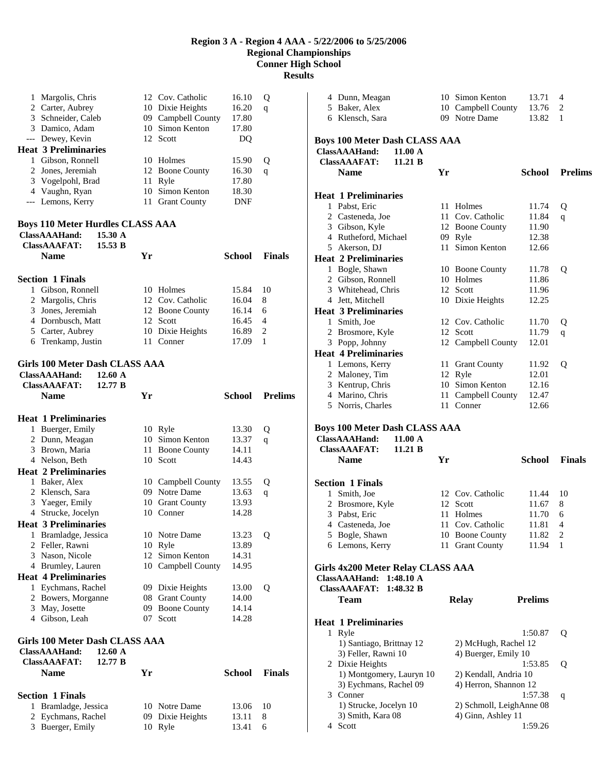**Results** 

| 1      | Margolis, Chris                              |          | 12 Cov. Catholic                 | 16.10          | Q              |
|--------|----------------------------------------------|----------|----------------------------------|----------------|----------------|
|        | 2 Carter, Aubrey                             |          | 10 Dixie Heights                 | 16.20          | q              |
|        | 3 Schneider, Caleb                           |          | 09 Campbell County               | 17.80          |                |
|        | 3 Damico, Adam                               |          | 10 Simon Kenton                  | 17.80          |                |
|        | --- Dewey, Kevin                             |          | 12 Scott                         | DQ             |                |
|        | <b>Heat 3 Preliminaries</b>                  |          |                                  |                |                |
|        | 1 Gibson, Ronnell<br>2 Jones, Jeremiah       | 12       | 10 Holmes<br><b>Boone County</b> | 15.90<br>16.30 | Q              |
|        | 3 Vogelpohl, Brad                            | 11       | Ryle                             | 17.80          | q              |
|        | 4 Vaughn, Ryan                               | 10       | Simon Kenton                     | 18.30          |                |
|        | --- Lemons, Kerry                            | 11       | <b>Grant County</b>              | <b>DNF</b>     |                |
|        |                                              |          |                                  |                |                |
|        | <b>Boys 110 Meter Hurdles CLASS AAA</b>      |          |                                  |                |                |
|        | ClassAAAHand:<br>15.30 A                     |          |                                  |                |                |
|        | <b>ClassAAAFAT:</b><br>15.53 B               |          |                                  |                |                |
|        | <b>Name</b>                                  | Yr       |                                  | <b>School</b>  | <b>Finals</b>  |
|        |                                              |          |                                  |                |                |
|        | <b>Section 1 Finals</b><br>1 Gibson, Ronnell |          |                                  |                |                |
|        | 2 Margolis, Chris                            |          | 10 Holmes<br>12 Cov. Catholic    | 15.84<br>16.04 | 10<br>8        |
|        | 3 Jones, Jeremiah                            |          | 12 Boone County                  | 16.14          | 6              |
|        | 4 Dornbusch, Matt                            | 12       | Scott                            | 16.45          | 4              |
|        | 5 Carter, Aubrey                             |          | 10 Dixie Heights                 | 16.89          | 2              |
|        | 6 Trenkamp, Justin                           |          | 11 Conner                        | 17.09          | 1              |
|        |                                              |          |                                  |                |                |
|        | <b>Girls 100 Meter Dash CLASS AAA</b>        |          |                                  |                |                |
|        | ClassAAAHand:<br>12.60 A                     |          |                                  |                |                |
|        | <b>ClassAAAFAT:</b><br>12.77 B               |          |                                  |                |                |
|        | <b>Name</b>                                  | Yr       |                                  | <b>School</b>  | <b>Prelims</b> |
|        |                                              |          |                                  |                |                |
|        |                                              |          |                                  |                |                |
|        | <b>Heat 1 Preliminaries</b>                  |          |                                  |                |                |
|        | 1 Buerger, Emily                             |          | 10 Ryle                          | 13.30          | Q              |
|        | 2 Dunn, Meagan                               | 10<br>11 | Simon Kenton                     | 13.37<br>14.11 | q              |
|        | 3 Brown, Maria<br>4 Nelson, Beth             |          | <b>Boone County</b><br>10 Scott  | 14.43          |                |
|        | <b>Heat 2 Preliminaries</b>                  |          |                                  |                |                |
|        | 1 Baker, Alex                                |          | 10 Campbell County               | 13.55          | Q              |
|        | 2 Klensch, Sara                              |          | 09 Notre Dame                    | 13.63          | q              |
|        | 3 Yaeger, Emily                              |          | 10 Grant County                  | 13.93          |                |
|        | 4 Strucke, Jocelyn                           |          | 10 Conner                        | 14.28          |                |
|        | <b>Heat 3 Preliminaries</b>                  |          |                                  |                |                |
| 1      | Bramladge, Jessica                           |          | 10 Notre Dame                    | 13.23          | Q              |
|        | 2 Feller, Rawni                              | 10       | Ryle                             | 13.89          |                |
|        | 3 Nason, Nicole                              | 12       | Simon Kenton                     | 14.31          |                |
|        | 4 Brumley, Lauren                            |          | 10 Campbell County               | 14.95          |                |
|        | <b>Heat 4 Preliminaries</b>                  |          |                                  |                |                |
|        | 1 Eychmans, Rachel                           |          | 09 Dixie Heights                 | 13.00          | Q              |
|        | 2 Bowers, Morganne                           | 08       | <b>Grant County</b>              | 14.00          |                |
|        | 3 May, Josette                               | 09       | <b>Boone County</b>              | 14.14          |                |
|        | 4 Gibson, Leah                               | 07       | Scott                            | 14.28          |                |
|        | <b>Girls 100 Meter Dash CLASS AAA</b>        |          |                                  |                |                |
|        | 12.60 A<br>ClassAAAHand:                     |          |                                  |                |                |
|        | <b>ClassAAAFAT:</b><br>12.77 B               |          |                                  |                |                |
|        | Name                                         | Yr       |                                  | <b>School</b>  | <b>Finals</b>  |
|        |                                              |          |                                  |                |                |
|        | <b>Section 1 Finals</b>                      |          |                                  |                |                |
| 1      | Bramladge, Jessica                           |          | 10 Notre Dame                    | 13.06          | 10             |
| 2<br>3 | Eychmans, Rachel<br>Buerger, Emily           |          | 09 Dixie Heights<br>10 Ryle      | 13.11<br>13.41 | 8<br>6         |

|   | 4 Dunn, Meagan                       |          | 10 Simon Kenton           | 13.71          | 4              |
|---|--------------------------------------|----------|---------------------------|----------------|----------------|
|   | 5 Baker, Alex                        |          | 10 Campbell County        | 13.76          | 2              |
|   | 6 Klensch, Sara                      |          | 09 Notre Dame             | 13.82          | 1              |
|   |                                      |          |                           |                |                |
|   |                                      |          |                           |                |                |
|   | <b>Boys 100 Meter Dash CLASS AAA</b> |          |                           |                |                |
|   | ClassAAAHand:<br>11.00 A             |          |                           |                |                |
|   | <b>ClassAAAFAT:</b><br>11.21 B       |          |                           |                |                |
|   | <b>Name</b>                          | Yr       |                           | <b>School</b>  | <b>Prelims</b> |
|   |                                      |          |                           |                |                |
|   | <b>Heat 1 Preliminaries</b>          |          |                           |                |                |
|   | 1 Pabst, Eric                        | 11       | Holmes                    | 11.74          | Q              |
|   | 2 Casteneda, Joe                     |          | 11 Cov. Catholic          | 11.84          | q              |
|   | 3 Gibson, Kyle                       |          | 12 Boone County           | 11.90          |                |
|   | 4 Rutheford, Michael                 |          | 09 Ryle                   | 12.38          |                |
|   | 5 Akerson, DJ                        | 11       | Simon Kenton              | 12.66          |                |
|   |                                      |          |                           |                |                |
|   | <b>Heat 2 Preliminaries</b>          |          |                           |                |                |
|   | 1 Bogle, Shawn                       |          | 10 Boone County           | 11.78          | Q              |
|   | 2 Gibson, Ronnell                    |          | 10 Holmes                 | 11.86          |                |
|   | 3 Whitehead, Chris                   |          | 12 Scott                  | 11.96          |                |
|   | 4 Jett, Mitchell                     |          | 10 Dixie Heights          | 12.25          |                |
|   | <b>Heat 3 Preliminaries</b>          |          |                           |                |                |
|   | 1 Smith, Joe                         |          | 12 Cov. Catholic          | 11.70          | Q              |
|   | 2 Brosmore, Kyle                     |          | 12 Scott                  | 11.79          | q              |
|   | 3 Popp, Johnny                       |          | 12 Campbell County        | 12.01          |                |
|   | <b>Heat 4 Preliminaries</b>          |          |                           |                |                |
|   | 1 Lemons, Kerry                      | 11       | <b>Grant County</b>       | 11.92          | Q              |
|   | 2 Maloney, Tim                       |          | 12 Ryle                   | 12.01          |                |
|   | 3 Kentrup, Chris                     |          | 10 Simon Kenton           | 12.16          |                |
|   |                                      |          |                           |                |                |
|   | 4 Marino, Chris                      | 11<br>11 | Campbell County<br>Conner | 12.47          |                |
|   | 5 Norris, Charles                    |          |                           | 12.66          |                |
|   |                                      |          |                           |                |                |
|   | <b>Boys 100 Meter Dash CLASS AAA</b> |          |                           |                |                |
|   | ClassAAAHand:<br>11.00 A             |          |                           |                |                |
|   | <b>ClassAAAFAT:</b><br>11.21 B       |          |                           |                |                |
|   | <b>Name</b>                          | Yr       |                           | School         | <b>Finals</b>  |
|   |                                      |          |                           |                |                |
|   | <b>Section 1 Finals</b>              |          |                           |                |                |
| 1 | Smith, Joe                           |          | 12 Cov. Catholic          | 11.44          | 10             |
|   | 2 Brosmore, Kyle                     |          | 12 Scott                  | 11.67          | 8              |
|   | 3 Pabst, Eric                        |          | 11 Holmes                 | 11.70          | 6              |
|   |                                      |          |                           | 11.81          | 4              |
|   | 4 Casteneda, Joe                     |          | 11 Cov. Catholic          |                |                |
|   | 5 Bogle, Shawn                       |          | 10 Boone County           | 11.82          | 2              |
|   | 6 Lemons, Kerry                      | 11       | <b>Grant County</b>       | 11.94          | 1              |
|   |                                      |          |                           |                |                |
|   | Girls 4x200 Meter Relay CLASS AAA    |          |                           |                |                |
|   | <b>ClassAAAHand:</b><br>1:48.10 A    |          |                           |                |                |
|   | <b>ClassAAAFAT:</b><br>1:48.32 B     |          |                           |                |                |
|   | Team                                 |          | <b>Relay</b>              | <b>Prelims</b> |                |
|   |                                      |          |                           |                |                |
|   | <b>Heat 1 Preliminaries</b>          |          |                           |                |                |
|   |                                      |          |                           |                |                |
|   | 1 Ryle                               |          |                           | 1:50.87        | Q              |
|   | 1) Santiago, Brittnay 12             |          | 2) McHugh, Rachel 12      |                |                |
|   | 3) Feller, Rawni 10                  |          | 4) Buerger, Emily 10      |                |                |
|   | 2 Dixie Heights                      |          |                           | 1:53.85        | Q              |
|   | 1) Montgomery, Lauryn 10             |          | 2) Kendall, Andria 10     |                |                |
|   | 3) Eychmans, Rachel 09               |          | 4) Herron, Shannon 12     |                |                |
|   | 3 Conner                             |          |                           | 1:57.38        | q              |
|   |                                      |          |                           |                |                |
|   | 1) Strucke, Jocelyn 10               |          | 2) Schmoll, LeighAnne 08  |                |                |
|   | 3) Smith, Kara 08<br>4 Scott         |          | 4) Ginn, Ashley 11        | 1:59.26        |                |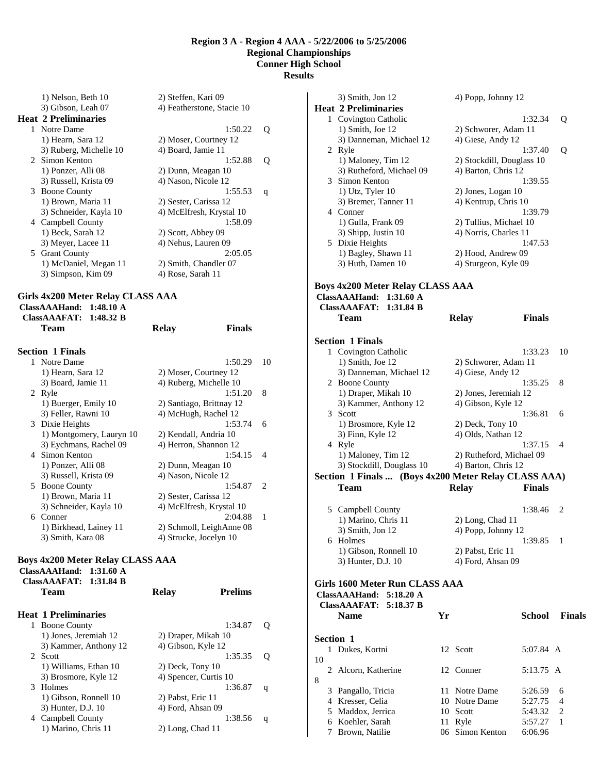1) Nelson, Beth 10 2) Steffen, Kari 09 3) Gibson, Leah 07 4) Featherstone, Stacie 10 **Heat 2 Preliminaries** 

1 Notre Dame 1:50.22 Q 1) Hearn, Sara 12 2) Moser, Courtney 12 3) Ruberg, Michelle 10 4) Board, Jamie 11 2 Simon Kenton 1:52.88 Q 1) Ponzer, Alli 08 2) Dunn, Meagan 10 3) Russell, Krista 09 4) Nason, Nicole 12 3 Boone County 1:55.53 q 1) Brown, Maria 11 2) Sester, Carissa 12 3) Schneider, Kayla 10 4) McElfresh, Krystal 10 4 Campbell County 1:58.09 1) Beck, Sarah 12 2) Scott, Abbey 09 3) Meyer, Lacee 11 4) Nehus, Lauren 09 5 Grant County 2:05.05 1) McDaniel, Megan 11 2) Smith, Chandler 07 3) Simpson, Kim 09 4) Rose, Sarah 11

### **Girls 4x200 Meter Relay CLASS AAA**

**ClassAAAHand: 1:48.10 A ClassAAAFAT: 1:48.32 B** 

**Team Relay Finals Section 1 Finals**  1 Notre Dame 1:50.29 10 1) Hearn, Sara 12 2) Moser, Courtney 12 3) Board, Jamie 11 4) Ruberg, Michelle 10 2 Ryle 1:51.20 8 1) Buerger, Emily 10 2) Santiago, Brittnay 12 3) Feller, Rawni 10 4) McHugh, Rachel 12 3 Dixie Heights 1:53.74 6 1) Montgomery, Lauryn 10 2) Kendall, Andria 10 3) Eychmans, Rachel 09 4) Herron, Shannon 12 4 Simon Kenton 1:54.15 4 1) Ponzer, Alli 08 2) Dunn, Meagan 10 3) Russell, Krista 09 4) Nason, Nicole 12 5 Boone County 1:54.87 2 1) Brown, Maria 11 2) Sester, Carissa 12 3) Schneider, Kayla 10 4) McElfresh, Krystal 10 6 Conner 2:04.88 1 1) Birkhead, Lainey 11 2) Schmoll, LeighAnne 08 3) Smith, Kara 08 4) Strucke, Jocelyn 10

### **Boys 4x200 Meter Relay CLASS AAA**

**ClassAAAHand: 1:31.60 A ClassAAAFAT: 1:31.84 B Team Relay Prelims Heat 1 Preliminaries**  1 Boone County 1:34.87 Q 1) Jones, Jeremiah 12 2) Draper, Mikah 10 3) Kammer, Anthony 12 4) Gibson, Kyle 12 2 Scott 1:35.35 Q 1) Williams, Ethan 10 2) Deck, Tony 10 3) Brosmore, Kyle 12 4) Spencer, Curtis 10 3 Holmes 1:36.87 q 1) Gibson, Ronnell 10 2) Pabst, Eric 11 3) Hunter, D.J. 10 4) Ford, Ahsan 09 4 Campbell County 1:38.56 q 1) Marino, Chris 11 2) Long, Chad 11

|    |    | 3) Smith, Jon 12                                     |    | 4) Popp, Johnny 12        |               |               |
|----|----|------------------------------------------------------|----|---------------------------|---------------|---------------|
|    |    | <b>Heat 2 Preliminaries</b>                          |    |                           |               |               |
|    |    | 1 Covington Catholic                                 |    |                           | 1:32.34       | Q             |
|    |    | 1) Smith, Joe 12                                     |    | 2) Schworer, Adam 11      |               |               |
|    |    | 3) Danneman, Michael 12                              |    | 4) Giese, Andy 12         |               |               |
|    |    | 2 Ryle                                               |    |                           | 1:37.40       | Q             |
|    |    | 1) Maloney, Tim 12                                   |    | 2) Stockdill, Douglass 10 |               |               |
|    |    | 3) Rutheford, Michael 09                             |    | 4) Barton, Chris 12       |               |               |
|    |    | 3 Simon Kenton                                       |    |                           | 1:39.55       |               |
|    |    | 1) Utz, Tyler 10                                     |    | 2) Jones, Logan 10        |               |               |
|    |    | 3) Bremer, Tanner 11                                 |    | 4) Kentrup, Chris 10      |               |               |
|    |    | 4 Conner                                             |    |                           | 1:39.79       |               |
|    |    | 1) Gulla, Frank 09                                   |    | 2) Tullius, Michael 10    |               |               |
|    |    | 3) Shipp, Justin 10                                  |    | 4) Norris, Charles 11     |               |               |
|    | 5. | Dixie Heights                                        |    |                           | 1:47.53       |               |
|    |    | 1) Bagley, Shawn 11                                  |    | 2) Hood, Andrew 09        |               |               |
|    |    | 3) Huth, Damen 10                                    |    | 4) Sturgeon, Kyle 09      |               |               |
|    |    |                                                      |    |                           |               |               |
|    |    | <b>Boys 4x200 Meter Relay CLASS AAA</b>              |    |                           |               |               |
|    |    | <b>ClassAAAHand:</b><br>$1:31.60 \text{ A}$          |    |                           |               |               |
|    |    | <b>ClassAAAFAT:</b><br>1:31.84 B                     |    |                           |               |               |
|    |    | Team                                                 |    |                           | <b>Finals</b> |               |
|    |    |                                                      |    | <b>Relay</b>              |               |               |
|    |    |                                                      |    |                           |               |               |
|    |    | <b>Section 1 Finals</b>                              |    |                           |               |               |
|    |    | 1 Covington Catholic                                 |    |                           | 1:33.23       | 10            |
|    |    | 1) Smith, Joe 12                                     |    | 2) Schworer, Adam 11      |               |               |
|    |    | 3) Danneman, Michael 12                              |    | 4) Giese, Andy 12         |               |               |
|    |    | 2 Boone County                                       |    |                           | 1:35.25       | 8             |
|    |    | 1) Draper, Mikah 10                                  |    | 2) Jones, Jeremiah 12     |               |               |
|    |    | 3) Kammer, Anthony 12                                |    | 4) Gibson, Kyle 12        |               |               |
|    |    | 3 Scott                                              |    |                           | 1:36.81       | 6             |
|    |    | 1) Brosmore, Kyle 12                                 |    | 2) Deck, Tony 10          |               |               |
|    |    | 3) Finn, Kyle 12                                     |    | 4) Olds, Nathan 12        |               |               |
|    |    | 4 Ryle                                               |    |                           | 1:37.15       | 4             |
|    |    | 1) Maloney, Tim 12                                   |    | 2) Rutheford, Michael 09  |               |               |
|    |    | 3) Stockdill, Douglass 10                            |    | 4) Barton, Chris 12       |               |               |
|    |    | Section 1 Finals  (Boys 4x200 Meter Relay CLASS AAA) |    |                           |               |               |
|    |    | <b>Team</b>                                          |    | <b>Relay</b>              | <b>Finals</b> |               |
|    |    |                                                      |    |                           |               |               |
|    |    | 5 Campbell County                                    |    |                           | 1:38.46       | 2             |
|    |    | 1) Marino, Chris 11                                  |    | 2) Long, Chad 11          |               |               |
|    |    | 3) Smith, Jon 12                                     |    | 4) Popp, Johnny 12        |               |               |
|    |    | 6 Holmes                                             |    |                           | 1:39.85       | 1             |
|    |    | 1) Gibson, Ronnell 10                                |    | 2) Pabst, Eric 11         |               |               |
|    |    | 3) Hunter, D.J. 10                                   |    | 4) Ford, Ahsan 09         |               |               |
|    |    |                                                      |    |                           |               |               |
|    |    | Girls 1600 Meter Run CLASS AAA                       |    |                           |               |               |
|    |    | 5:18.20 A<br><b>ClassAAAHand:</b>                    |    |                           |               |               |
|    |    | <b>ClassAAAFAT:</b><br>5:18.37 B                     |    |                           |               |               |
|    |    | <b>Name</b>                                          | Yr |                           | School        | <b>Finals</b> |
|    |    |                                                      |    |                           |               |               |
|    |    | <b>Section 1</b>                                     |    |                           |               |               |
|    | 1  | Dukes, Kortni                                        |    | 12 Scott                  | 5:07.84 A     |               |
| 10 |    |                                                      |    |                           |               |               |
|    |    | 2 Alcorn, Katherine                                  |    | 12 Conner                 | 5:13.75 A     |               |
| 8  |    |                                                      |    |                           |               |               |
|    |    | 3 Pangallo, Tricia                                   |    | 11 Notre Dame             | 5:26.59       | 6             |
|    |    | 4 Kresser, Celia                                     |    | 10 Notre Dame             | 5:27.75       | 4             |
|    |    | 5 Maddox, Jerrica                                    |    | 10 Scott                  | 5:43.32       | 2             |
|    |    | 6 Koehler, Sarah                                     |    | 11 Ryle                   | 5:57.27       | 1             |
|    |    | 7 Brown, Natilie                                     |    | 06 Simon Kenton           | 6:06.96       |               |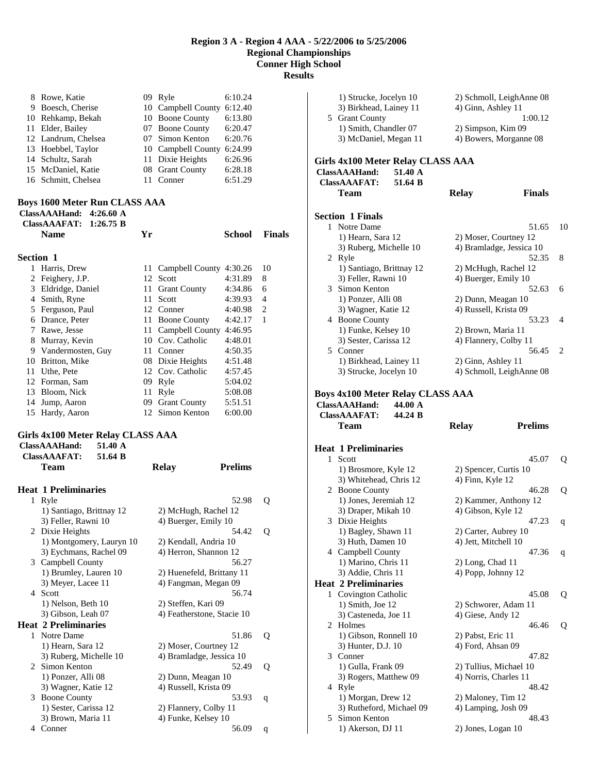8 Rowe, Katie 09 Ryle 6:10.24<br>9 Boesch, Cherise 10 Campbell County 6:12.40 9 Boesch, Cherise 10 Campbell County 6:12.40<br>10 Rehkamp, Bekah 10 Boone County 6:13.80 10 Rehkamp, Bekah<br>11 Elder, Bailey 07 Boone County 6:20.47<br>07 Simon Kenton 6:20.76 12 Landrum, Chelsea 07 Simon Kenton 6:20.76

| 13 Hoebbel, Taylor  | 10 Campbell County 6:24.99 |         |
|---------------------|----------------------------|---------|
| 14 Schultz, Sarah   | 11 Dixie Heights           | 6:26.96 |
| 15 McDaniel, Katie  | 08 Grant County            | 6:28.18 |
| 16 Schmitt, Chelsea | 11 Conner                  | 6:51.29 |

# **Boys 1600 Meter Run CLASS AAA**

|                  | 4:26.60 $\AA$<br>ClassAAAHand:<br>ClassAAAFAT: $1:26.75$ B |    |                         |         |               |
|------------------|------------------------------------------------------------|----|-------------------------|---------|---------------|
|                  | <b>Name</b>                                                | Yr |                         | School  | <b>Finals</b> |
| <b>Section 1</b> |                                                            |    |                         |         |               |
| 1                | Harris, Drew                                               | 11 | Campbell County 4:30.26 |         | 10            |
| 2                | Feighery, J.P.                                             | 12 | Scott                   | 4:31.89 | 8             |
| 3                | Eldridge, Daniel                                           | 11 | <b>Grant County</b>     | 4:34.86 | 6             |
| 4                | Smith, Ryne                                                | 11 | Scott                   | 4:39.93 | 4             |
| 5                | Ferguson, Paul                                             | 12 | Conner                  | 4:40.98 | 2             |
| 6                | Drance, Peter                                              | 11 | <b>Boone County</b>     | 4:42.17 | 1             |
| 7                | Rawe, Jesse                                                | 11 | Campbell County         | 4:46.95 |               |
| 8                | Murray, Kevin                                              |    | 10 Cov. Catholic        | 4:48.01 |               |
| 9                | Vandermosten, Guy                                          | 11 | Conner                  | 4:50.35 |               |
| 10               | Britton, Mike                                              |    | 08 Dixie Heights        | 4:51.48 |               |
| 11               | Uthe, Pete                                                 | 12 | Cov. Catholic           | 4:57.45 |               |
| 12               | Forman, Sam                                                | 09 | Ryle                    | 5:04.02 |               |
| 13               | Bloom, Nick                                                | 11 | Ryle                    | 5:08.08 |               |
| 14               | Jump, Aaron                                                | 09 | <b>Grant County</b>     | 5:51.51 |               |
| 15               | Hardy, Aaron                                               | 12 | Simon Kenton            | 6:00.00 |               |

#### **Girls 4x100 Meter Relay CLASS AAA ClassAAAHand: 51.40 A**

|   | <b>ClassAAAFAT:</b><br>51.64 B |                       |                            |   |
|---|--------------------------------|-----------------------|----------------------------|---|
|   | <b>Team</b>                    | <b>Relay</b>          | <b>Prelims</b>             |   |
|   | <b>Heat 1 Preliminaries</b>    |                       |                            |   |
| 1 | Ryle                           |                       | 52.98                      | 0 |
|   | 1) Santiago, Brittnay 12       | 2) McHugh, Rachel 12  |                            |   |
|   | 3) Feller, Rawni 10            | 4) Buerger, Emily 10  |                            |   |
|   | 2 Dixie Heights                |                       | 54.42                      | 0 |
|   | 1) Montgomery, Lauryn 10       | 2) Kendall, Andria 10 |                            |   |
|   | 3) Eychmans, Rachel 09         | 4) Herron, Shannon 12 |                            |   |
|   | 3 Campbell County              |                       | 56.27                      |   |
|   | 1) Brumley, Lauren 10          |                       | 2) Huenefeld, Brittany 11  |   |
|   | 3) Meyer, Lacee 11             | 4) Fangman, Megan 09  |                            |   |
| 4 | <b>Scott</b>                   |                       | 56.74                      |   |
|   | 1) Nelson, Beth 10             | 2) Steffen, Kari 09   |                            |   |
|   | 3) Gibson, Leah 07             |                       | 4) Featherstone, Stacie 10 |   |
|   | <b>Heat 2 Preliminaries</b>    |                       |                            |   |
|   | 1 Notre Dame                   |                       | 51.86                      | 0 |
|   | 1) Hearn, Sara 12              | 2) Moser, Courtney 12 |                            |   |
|   | 3) Ruberg, Michelle 10         |                       | 4) Bramladge, Jessica 10   |   |
|   | 2 Simon Kenton                 |                       | 52.49                      | Q |
|   | 1) Ponzer, Alli 08             | 2) Dunn, Meagan 10    |                            |   |
|   | 3) Wagner, Katie 12            | 4) Russell, Krista 09 |                            |   |
| 3 | <b>Boone County</b>            |                       | 53.93                      | q |
|   | 1) Sester, Carissa 12          | 2) Flannery, Colby 11 |                            |   |
|   | 3) Brown, Maria 11             | 4) Funke, Kelsey 10   |                            |   |
| 4 | Conner                         |                       | 56.09                      | q |

|              | 1) Strucke, Jocelyn 10<br>3) Birkhead, Lainey 11<br>5 Grant County | 2) Schmoll, LeighAnne 08<br>4) Ginn, Ashley 11 | 1:00.12        |
|--------------|--------------------------------------------------------------------|------------------------------------------------|----------------|
|              | 1) Smith, Chandler 07<br>3) McDaniel, Megan 11                     | 2) Simpson, Kim 09<br>4) Bowers, Morganne 08   |                |
|              | <b>Girls 4x100 Meter Relay CLASS AAA</b>                           |                                                |                |
|              | <b>ClassAAAHand:</b><br>51.40 A                                    |                                                |                |
|              | <b>ClassAAAFAT:</b><br>51.64 B                                     |                                                |                |
|              | Team                                                               | <b>Relay</b>                                   | <b>Finals</b>  |
|              | <b>Section 1 Finals</b>                                            |                                                |                |
|              | 1 Notre Dame                                                       |                                                | 51.65<br>10    |
|              | 1) Hearn, Sara 12                                                  | 2) Moser, Courtney 12                          |                |
|              | 3) Ruberg, Michelle 10                                             | 4) Bramladge, Jessica 10                       |                |
|              | 2 Ryle                                                             |                                                | 52.35<br>8     |
|              | 1) Santiago, Brittnay 12                                           | 2) McHugh, Rachel 12                           |                |
|              | 3) Feller, Rawni 10                                                | 4) Buerger, Emily 10                           |                |
|              | 3 Simon Kenton                                                     |                                                | 52.63<br>6     |
|              | 1) Ponzer, Alli 08                                                 | 2) Dunn, Meagan 10                             |                |
|              | 3) Wagner, Katie 12                                                | 4) Russell, Krista 09                          |                |
|              | 4 Boone County                                                     |                                                | 53.23<br>4     |
|              | 1) Funke, Kelsey 10                                                | 2) Brown, Maria 11                             |                |
|              | 3) Sester, Carissa 12                                              | 4) Flannery, Colby 11                          |                |
|              | 5 Conner                                                           |                                                | 56.45<br>2     |
|              | 1) Birkhead, Lainey 11                                             | 2) Ginn, Ashley 11                             |                |
|              | 3) Strucke, Jocelyn 10                                             | 4) Schmoll, LeighAnne 08                       |                |
|              |                                                                    |                                                |                |
|              | <b>Boys 4x100 Meter Relay CLASS AAA</b>                            |                                                |                |
|              | <b>ClassAAAHand:</b><br>44.00 A                                    |                                                |                |
|              |                                                                    |                                                |                |
|              |                                                                    |                                                |                |
|              | <b>ClassAAAFAT:</b><br>44.24 B                                     |                                                |                |
|              | Team                                                               | <b>Relay</b>                                   | <b>Prelims</b> |
|              |                                                                    |                                                |                |
| $\mathbf{1}$ | <b>Heat 1 Preliminaries</b>                                        |                                                |                |
|              | Scott                                                              |                                                | 45.07<br>Q     |
|              | 1) Brosmore, Kyle 12                                               | 2) Spencer, Curtis 10                          |                |
|              | 3) Whitehead, Chris 12                                             | 4) Finn, Kyle 12                               |                |
|              | 2 Boone County                                                     |                                                | 46.28<br>Q     |
|              | 1) Jones, Jeremiah 12                                              | 2) Kammer, Anthony 12                          |                |
|              | 3) Draper, Mikah 10                                                | 4) Gibson, Kyle 12                             |                |
|              | 3 Dixie Heights                                                    |                                                | 47.23<br>q     |
|              | 1) Bagley, Shawn 11                                                | 2) Carter, Aubrey 10                           |                |
|              | 3) Huth, Damen 10                                                  | 4) Jett, Mitchell 10                           |                |
|              | 4 Campbell County                                                  |                                                | 47.36<br>q     |
|              | 1) Marino, Chris 11                                                | 2) Long, Chad 11                               |                |
|              | 3) Addie, Chris 11                                                 | 4) Popp, Johnny 12                             |                |
|              | <b>Heat 2 Preliminaries</b>                                        |                                                |                |
|              | 1 Covington Catholic                                               |                                                | 45.08<br>Q     |
|              | 1) Smith, Joe 12                                                   | 2) Schworer, Adam 11                           |                |
|              | 3) Casteneda, Joe 11                                               | 4) Giese, Andy 12                              |                |
|              | 2 Holmes                                                           |                                                | 46.46<br>Q     |
|              | 1) Gibson, Ronnell 10                                              | 2) Pabst, Eric 11                              |                |
|              | 3) Hunter, D.J. 10                                                 | 4) Ford, Ahsan 09                              |                |
|              | 3 Conner                                                           |                                                | 47.82          |
|              | 1) Gulla, Frank 09                                                 | 2) Tullius, Michael 10                         |                |
|              | 3) Rogers, Matthew 09                                              | 4) Norris, Charles 11                          |                |
|              | 4 Ryle                                                             |                                                | 48.42          |
|              | 1) Morgan, Drew 12                                                 | 2) Maloney, Tim 12                             |                |
|              | 3) Rutheford, Michael 09                                           | 4) Lamping, Josh 09                            |                |
|              | 5 Simon Kenton                                                     |                                                | 48.43          |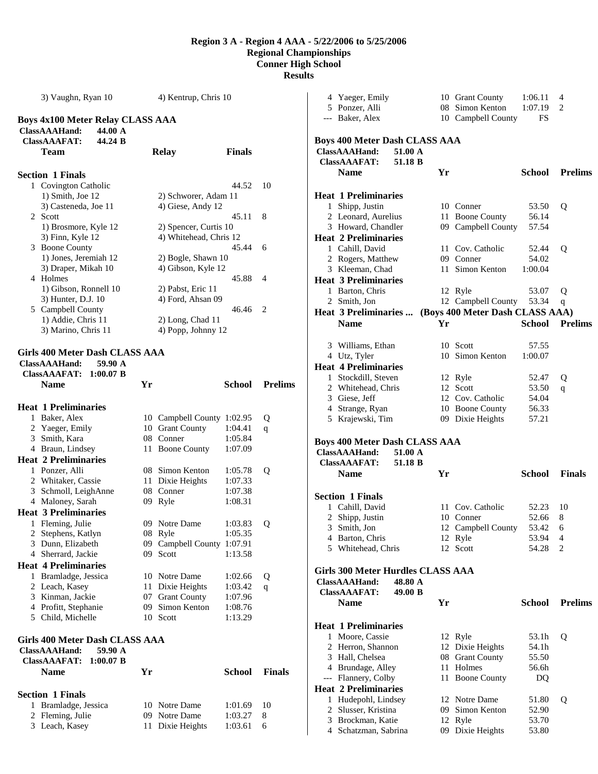3) Vaughn, Ryan 10 4) Kentrup, Chris 10 **Boys 4x100 Meter Relay CLASS AAA ClassAAAHand: 44.00 A ClassAAAFAT: 44.24 B Team Relay Finals Section 1 Finals**  1 Covington Catholic 44.52 10 1) Smith, Joe 12 2) Schworer, Adam 11 3) Casteneda, Joe 11 4) Giese, Andy 12 2 Scott 45.11 8 1) Brosmore, Kyle 12 2) Spencer, Curtis 10 3) Finn, Kyle 12 4) Whitehead, Chris 12 3 Boone County 45.44 6 1) Jones, Jeremiah 12 2) Bogle, Shawn 10 3) Draper, Mikah 10 4) Gibson, Kyle 12 4 Holmes 45.88 4 1) Gibson, Ronnell 10 2) Pabst, Eric 11 3) Hunter, D.J. 10 4) Ford, Ahsan 09 5 Campbell County 46.46 2 1) Addie, Chris 11 2) Long, Chad 11 3) Marino, Chris 11 4) Popp, Johnny 12 **Girls 400 Meter Dash CLASS AAA ClassAAAHand: 59.90 A ClassAAAFAT: 1:00.07 B Name Yr School Prelims Heat 1 Preliminaries**  1 Baker, Alex 10 Campbell County 1:02.95 Q 2 Yaeger, Emily 10 Grant County 1:04.41 q 3 Smith, Kara 08 Conner 1:05.84 4 Braun, Lindsey 11 Boone County 1:07.09 **Heat 2 Preliminaries**  1 Ponzer, Alli 08 Simon Kenton 1:05.78 Q 2 Whitaker, Cassie 11 Dixie Heights 1:07.33 3 Schmoll, LeighAnne 08 Conner 1:07.38 4 Maloney, Sarah 09 Ryle 1:08.31 **Heat 3 Preliminaries**  1 Fleming, Julie 09 Notre Dame 1:03.83 Q 2 Stephens, Katlyn 08 Ryle 1:05.35 3 Dunn, Elizabeth 09 Campbell County 1:07.91 4 Sherrard, Jackie 09 Scott 1:13.58 **Heat 4 Preliminaries**  1 Bramladge, Jessica 10 Notre Dame 1:02.66 Q 2 Leach, Kasey 11 Dixie Heights 1:03.42 q 3 Kinman, Jackie 07 Grant County 1:07.96 4 Profitt, Stephanie 09 Simon Kenton 1:08.76 5 Child, Michelle 10 Scott 1:13.29 **Girls 400 Meter Dash CLASS AAA ClassAAAHand: 59.90 A ClassAAAFAT: 1:00.07 B Name Yr School Finals Section 1 Finals**  1 Bramladge, Jessica 10 Notre Dame 1:01.69 10 2 Fleming, Julie 09 Notre Dame 1:03.27 8

3 Leach, Kasey 11 Dixie Heights 1:03.61 6

|   | 4 Yaeger, Emily                           |         |    | 10 Grant County                 | 1:06.11        | 4              |
|---|-------------------------------------------|---------|----|---------------------------------|----------------|----------------|
|   | 5 Ponzer, Alli                            |         |    | 08 Simon Kenton                 | 1:07.19        | 2              |
|   | --- Baker, Alex                           |         |    | 10 Campbell County              | FS             |                |
|   |                                           |         |    |                                 |                |                |
|   | <b>Boys 400 Meter Dash CLASS AAA</b>      |         |    |                                 |                |                |
|   | ClassAAAHand:                             | 51.00 A |    |                                 |                |                |
|   | <b>ClassAAAFAT:</b>                       | 51.18 B |    |                                 |                |                |
|   | <b>Name</b>                               |         | Yr |                                 | School         | <b>Prelims</b> |
|   |                                           |         |    |                                 |                |                |
|   | <b>Heat 1 Preliminaries</b>               |         |    |                                 |                |                |
|   | 1 Shipp, Justin                           |         |    | 10 Conner<br>11 Boone County    | 53.50          | Q              |
|   | 2 Leonard, Aurelius<br>3 Howard, Chandler |         |    | 09 Campbell County              | 56.14<br>57.54 |                |
|   | <b>Heat 2 Preliminaries</b>               |         |    |                                 |                |                |
|   | 1 Cahill, David                           |         |    | 11 Cov. Catholic                |                |                |
|   | 2 Rogers, Matthew                         |         |    | 09 Conner                       | 52.44<br>54.02 | Q              |
|   | 3 Kleeman, Chad                           |         |    | 11 Simon Kenton                 | 1:00.04        |                |
|   | <b>Heat 3 Preliminaries</b>               |         |    |                                 |                |                |
|   |                                           |         |    |                                 |                |                |
|   | 1 Barton, Chris                           |         |    | 12 Ryle                         | 53.07          | Q              |
|   | 2 Smith, Jon                              |         |    | 12 Campbell County              | 53.34          | q              |
|   | <b>Heat 3 Preliminaries </b>              |         |    | (Boys 400 Meter Dash CLASS AAA) |                |                |
|   | <b>Name</b>                               |         | Yr |                                 | <b>School</b>  | <b>Prelims</b> |
|   |                                           |         |    |                                 |                |                |
|   | 3 Williams, Ethan                         |         |    | 10 Scott                        | 57.55          |                |
|   | 4 Utz, Tyler                              |         |    | 10 Simon Kenton                 | 1:00.07        |                |
|   | <b>Heat 4 Preliminaries</b>               |         |    |                                 |                |                |
|   | 1 Stockdill, Steven                       |         |    | 12 Ryle                         | 52.47          | Q              |
|   | 2 Whitehead, Chris                        |         |    | 12 Scott                        | 53.50          | q              |
|   | 3 Giese, Jeff                             |         |    | 12 Cov. Catholic                | 54.04          |                |
|   | 4 Strange, Ryan                           |         |    | 10 Boone County                 | 56.33          |                |
|   | 5 Krajewski, Tim                          |         |    | 09 Dixie Heights                | 57.21          |                |
|   | <b>Boys 400 Meter Dash CLASS AAA</b>      |         |    |                                 |                |                |
|   | ClassAAAHand:                             | 51.00 A |    |                                 |                |                |
|   | <b>ClassAAAFAT:</b>                       | 51.18 B |    |                                 |                |                |
|   | <b>Name</b>                               |         | Yr |                                 | School         | <b>Finals</b>  |
|   |                                           |         |    |                                 |                |                |
|   | <b>Section 1 Finals</b>                   |         |    |                                 |                |                |
|   | 1 Cahill, David                           |         |    | 11 Cov. Catholic                | 52.23          | 10             |
|   | 2 Shipp, Justin                           |         |    | 10 Conner                       | 52.66          | 8              |
|   | 3 Smith, Jon                              |         |    | 12 Campbell County              | 53.42          | 6              |
|   | 4 Barton, Chris                           |         |    | 12 Ryle                         | 53.94          | 4              |
|   | 5 Whitehead, Chris                        |         |    | 12 Scott                        | 54.28          | $\overline{c}$ |
|   |                                           |         |    |                                 |                |                |
|   | <b>Girls 300 Meter Hurdles CLASS AAA</b>  |         |    |                                 |                |                |
|   | ClassAAAHand:                             | 48.80 A |    |                                 |                |                |
|   | <b>ClassAAAFAT:</b>                       | 49.00 B |    |                                 |                |                |
|   | <b>Name</b>                               |         | Yr |                                 | <b>School</b>  | <b>Prelims</b> |
|   |                                           |         |    |                                 |                |                |
|   | <b>Heat 1 Preliminaries</b>               |         |    |                                 |                |                |
|   | 1 Moore, Cassie                           |         |    | 12 Ryle                         | 53.1h          | Q              |
|   | 2 Herron, Shannon                         |         |    | 12 Dixie Heights                | 54.1h          |                |
|   | 3 Hall, Chelsea                           |         |    | 08 Grant County                 | 55.50          |                |
|   | 4 Brundage, Alley                         |         |    | 11 Holmes                       | 56.6h          |                |
|   | --- Flannery, Colby                       |         |    | 11 Boone County                 | DQ             |                |
|   | <b>Heat 2 Preliminaries</b>               |         |    |                                 |                |                |
|   | 1 Hudepohl, Lindsey                       |         |    | 12 Notre Dame                   | 51.80          | Q              |
| 2 | Slusser, Kristina                         |         |    | 09 Simon Kenton                 | 52.90          |                |
|   | 3 Brockman, Katie                         |         |    | 12 Ryle                         | 53.70          |                |
|   | 4 Schatzman, Sabrina                      |         |    | 09 Dixie Heights                | 53.80          |                |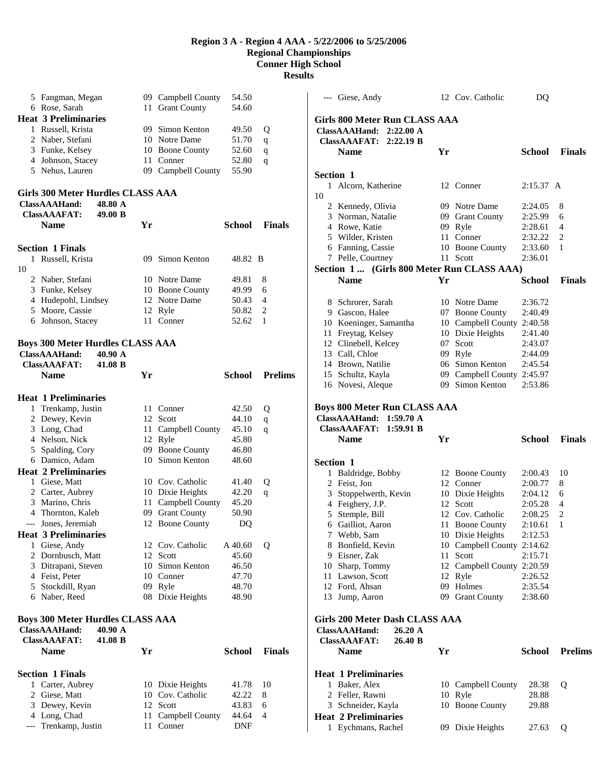**Results** 

| 5 Fangman, Megan                        |      | 09 Campbell County                     | 54.50          |                |
|-----------------------------------------|------|----------------------------------------|----------------|----------------|
| 6 Rose, Sarah                           |      | 11 Grant County                        | 54.60          |                |
| <b>Heat 3 Preliminaries</b>             |      |                                        |                |                |
| 1 Russell, Krista                       |      | 09 Simon Kenton                        | 49.50          | Q              |
| 2 Naber, Stefani                        |      | 10 Notre Dame                          | 51.70          | q              |
| 3 Funke, Kelsey                         |      | 10 Boone County                        | 52.60          | q              |
| 4 Johnson, Stacey                       | 11 - | Conner                                 | 52.80          | q              |
| 5 Nehus, Lauren                         |      | 09 Campbell County                     | 55.90          |                |
|                                         |      |                                        |                |                |
| Girls 300 Meter Hurdles CLASS AAA       |      |                                        |                |                |
| ClassAAAHand:<br>48.80 A                |      |                                        |                |                |
| <b>ClassAAAFAT:</b><br>49.00 B          |      |                                        |                |                |
| <b>Name</b>                             | Yr   |                                        | School         | <b>Finals</b>  |
|                                         |      |                                        |                |                |
| <b>Section 1 Finals</b>                 |      |                                        |                |                |
| 1 Russell, Krista                       |      | 09 Simon Kenton                        | 48.82 B        |                |
| 10                                      |      |                                        |                |                |
| 2 Naber, Stefani                        |      | 10 Notre Dame                          | 49.81          | 8              |
| 3 Funke, Kelsey                         |      | 10 Boone County                        | 49.99          | 6              |
| 4 Hudepohl, Lindsey                     |      | 12 Notre Dame                          | 50.43          | 4              |
| 5 Moore, Cassie                         |      | 12 Ryle                                | 50.82          | 2              |
| 6 Johnson, Stacey                       |      | 11 Conner                              | 52.62          | 1              |
| <b>Boys 300 Meter Hurdles CLASS AAA</b> |      |                                        |                |                |
| <b>ClassAAAHand:</b><br>40.90 A         |      |                                        |                |                |
| <b>ClassAAAFAT:</b><br>41.08 B          |      |                                        |                |                |
| Name                                    | Yr   |                                        | <b>School</b>  | <b>Prelims</b> |
|                                         |      |                                        |                |                |
| <b>Heat 1 Preliminaries</b>             |      |                                        |                |                |
|                                         |      | 11 Conner                              | 42.50          | Q              |
|                                         |      |                                        |                |                |
| 1 Trenkamp, Justin                      | 12   | Scott                                  | 44.10          |                |
| 2 Dewey, Kevin<br>3 Long, Chad          |      |                                        | 45.10          | q<br>q         |
| 4 Nelson, Nick                          |      | 11 Campbell County<br>12 Ryle          | 45.80          |                |
|                                         |      | 09 Boone County                        | 46.80          |                |
| 5 Spalding, Cory<br>6 Damico, Adam      |      | 10 Simon Kenton                        | 48.60          |                |
| <b>Heat 2 Preliminaries</b>             |      |                                        |                |                |
| 1 Giese, Matt                           |      | 10 Cov. Catholic                       | 41.40          |                |
| 2 Carter, Aubrey                        |      |                                        | 42.20          | Q              |
| 3 Marino, Chris                         |      | 10 Dixie Heights<br>11 Campbell County | 45.20          | q              |
| 4 Thornton, Kaleb                       |      | 09 Grant County                        | 50.90          |                |
| Jones, Jeremiah<br>---                  |      | 12 Boone County                        | DQ             |                |
| <b>Heat 3 Preliminaries</b>             |      |                                        |                |                |
| 1 Giese, Andy                           |      | 12 Cov. Catholic                       | A 40.60        | Q              |
| 2 Dornbusch, Matt                       |      | 12 Scott                               | 45.60          |                |
|                                         |      | 10 Simon Kenton                        | 46.50          |                |
| 3 Ditrapani, Steven<br>4 Feist, Peter   |      | 10 Conner                              | 47.70          |                |
| 5 Stockdill, Ryan                       |      | 09 Ryle                                | 48.70          |                |
| 6 Naber, Reed                           |      | 08 Dixie Heights                       | 48.90          |                |
|                                         |      |                                        |                |                |
| <b>Boys 300 Meter Hurdles CLASS AAA</b> |      |                                        |                |                |
| 40.90 A<br>ClassAAAHand:                |      |                                        |                |                |
| ClassAAAFAT:<br>41.08 B                 |      |                                        |                |                |
| Name                                    | Yr   |                                        | <b>School</b>  | <b>Finals</b>  |
|                                         |      |                                        |                |                |
| <b>Section 1 Finals</b>                 |      |                                        |                |                |
| 1 Carter, Aubrey                        |      | 10 Dixie Heights                       | 41.78          | 10             |
| 2 Giese, Matt                           |      | 10 Cov. Catholic                       | 42.22          | 8              |
| 3 Dewey, Kevin<br>4 Long, Chad          | 11 - | 12 Scott<br>Campbell County            | 43.83<br>44.64 | 6<br>4         |

|                  | --- Giese, Andy                                                                                    |    | 12 Cov. Catholic           | DQ            |                |
|------------------|----------------------------------------------------------------------------------------------------|----|----------------------------|---------------|----------------|
|                  | Girls 800 Meter Run CLASS AAA                                                                      |    |                            |               |                |
|                  | 2:22.00 A<br><b>ClassAAAHand:</b>                                                                  |    |                            |               |                |
|                  | <b>ClassAAAFAT:</b><br>2:22.19 B                                                                   |    |                            |               |                |
|                  | <b>Name</b>                                                                                        | Yr |                            | <b>School</b> | <b>Finals</b>  |
| <b>Section 1</b> |                                                                                                    |    |                            |               |                |
|                  | 1 Alcorn, Katherine                                                                                |    | 12 Conner                  | 2:15.37 A     |                |
| 10               |                                                                                                    |    |                            |               |                |
|                  | 2 Kennedy, Olivia                                                                                  |    | 09 Notre Dame              | 2:24.05       | 8              |
|                  | 3 Norman, Natalie                                                                                  |    | 09 Grant County            | 2:25.99       | 6              |
|                  | 4 Rowe, Katie                                                                                      |    | 09 Ryle                    | 2:28.61       | 4              |
|                  | 5 Wilder, Kristen                                                                                  |    | 11 Conner                  | 2:32.22       | 2              |
|                  | 6 Fanning, Cassie                                                                                  |    | 10 Boone County            | 2:33.60       | 1              |
|                  | 7 Pelle, Courtney                                                                                  |    | 11 Scott                   | 2:36.01       |                |
|                  | Section 1  (Girls 800 Meter Run CLASS AAA)                                                         |    |                            |               |                |
|                  | <b>Name</b>                                                                                        | Yr |                            | School        | <b>Finals</b>  |
|                  | 8 Schrorer, Sarah                                                                                  |    | 10 Notre Dame              | 2:36.72       |                |
|                  | 9 Gascon, Halee                                                                                    |    | 07 Boone County            | 2:40.49       |                |
|                  | 10 Koeninger, Samantha                                                                             |    | 10 Campbell County 2:40.58 |               |                |
|                  | 11 Freytag, Kelsey                                                                                 |    | 10 Dixie Heights           | 2:41.40       |                |
|                  | 12 Clinebell, Kelcey                                                                               | 07 | Scott                      | 2:43.07       |                |
|                  | 13 Call, Chloe                                                                                     |    | 09 Ryle                    | 2:44.09       |                |
|                  | 14 Brown, Natilie                                                                                  |    | 06 Simon Kenton            | 2:45.54       |                |
|                  | 15 Schultz, Kayla                                                                                  |    | 09 Campbell County 2:45.97 |               |                |
|                  | 16 Novesi, Aleque                                                                                  |    | 09 Simon Kenton            | 2:53.86       |                |
|                  | <b>Boys 800 Meter Run CLASS AAA</b><br>ClassAAAHand: 1:59.70 A<br><b>ClassAAAFAT:</b><br>1:59.91 B |    |                            |               |                |
|                  | <b>Name</b>                                                                                        | Yr |                            | School        | <b>Finals</b>  |
| Section 1        |                                                                                                    |    |                            |               |                |
| 1                | Baldridge, Bobby                                                                                   |    | 12 Boone County            | 2:00.43       | 10             |
|                  | 2 Feist, Jon                                                                                       |    | 12 Conner                  | 2:00.77       | 8              |
|                  | 3 Stoppelwerth, Kevin                                                                              |    | 10 Dixie Heights           | 2:04.12       | 6              |
|                  | 4 Feighery, J.P.                                                                                   |    | 12 Scott                   | 2:05.28       | 4              |
|                  | 5 Stemple, Bill                                                                                    |    | 12 Cov. Catholic           | 2:08.25       | 2              |
|                  | 6 Gailliot, Aaron                                                                                  | 11 | <b>Boone County</b>        | 2:10.61       | 1              |
|                  | 7 Webb, Sam                                                                                        |    | 10 Dixie Heights           | 2:12.53       |                |
|                  | 8 Bonfield, Kevin                                                                                  |    | 10 Campbell County 2:14.62 |               |                |
|                  | 9 Eisner, Zak                                                                                      |    |                            |               |                |
|                  |                                                                                                    | 11 | Scott                      | 2:15.71       |                |
|                  | 10 Sharp, Tommy                                                                                    |    | 12 Campbell County 2:20.59 |               |                |
|                  | 11 Lawson, Scott                                                                                   | 12 | Ryle                       | 2:26.52       |                |
|                  | 12 Ford, Ahsan                                                                                     | 09 | Holmes                     | 2:35.54       |                |
|                  | 13 Jump, Aaron                                                                                     |    | 09 Grant County            | 2:38.60       |                |
|                  | Girls 200 Meter Dash CLASS AAA                                                                     |    |                            |               |                |
|                  | ClassAAAHand:<br>26.20 A                                                                           |    |                            |               |                |
|                  | <b>ClassAAAFAT:</b><br>26.40 B                                                                     |    |                            |               |                |
|                  | <b>Name</b>                                                                                        | Yr |                            | <b>School</b> | <b>Prelims</b> |
|                  | <b>Heat 1 Preliminaries</b>                                                                        |    |                            |               |                |
|                  | 1 Baker, Alex                                                                                      |    | 10 Campbell County         | 28.38         | Q              |
|                  | 2 Feller, Rawni                                                                                    |    | 10 Ryle                    | 28.88         |                |
|                  | 3 Schneider, Kayla                                                                                 |    | 10 Boone County            | 29.88         |                |
|                  | <b>Heat 2 Preliminaries</b>                                                                        |    |                            |               |                |
|                  | 1 Eychmans, Rachel                                                                                 |    | 09 Dixie Heights           | 27.63         | Q              |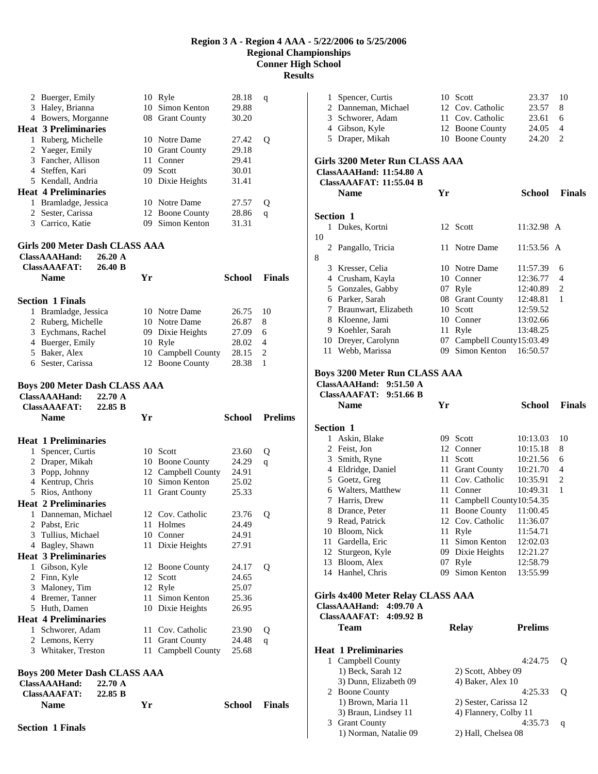| 2 | Buerger, Emily                                               |                    |      | 10 Ryle                | 28.18          | q              |
|---|--------------------------------------------------------------|--------------------|------|------------------------|----------------|----------------|
| 3 | Haley, Brianna                                               |                    |      | 10 Simon Kenton        | 29.88          |                |
|   | 4 Bowers, Morganne                                           |                    |      | 08 Grant County        | 30.20          |                |
|   | <b>Heat 3 Preliminaries</b>                                  |                    |      |                        |                |                |
|   | 1 Ruberg, Michelle                                           |                    |      | 10 Notre Dame          | 27.42          | Q              |
| 2 | Yaeger, Emily                                                |                    |      | 10 Grant County        | 29.18          |                |
|   | 3 Fancher, Allison                                           |                    |      | 11 Conner              | 29.41          |                |
|   | 4 Steffen, Kari                                              |                    |      | 09 Scott               | 30.01          |                |
|   | 5 Kendall, Andria                                            |                    |      | 10 Dixie Heights       | 31.41          |                |
|   | <b>Heat 4 Preliminaries</b>                                  |                    |      |                        |                |                |
|   | 1 Bramladge, Jessica                                         |                    |      | 10 Notre Dame          | 27.57          | Q              |
|   | 2 Sester, Carissa                                            |                    |      | 12 Boone County        | 28.86          | q              |
|   | 3 Carrico, Katie                                             |                    | 09   | Simon Kenton           | 31.31          |                |
|   | Girls 200 Meter Dash CLASS AAA                               |                    |      |                        |                |                |
|   | ClassAAAHand:                                                | 26.20 A            |      |                        |                |                |
|   | <b>ClassAAAFAT:</b>                                          | 26.40 B            |      |                        |                |                |
|   | <b>Name</b>                                                  |                    | Yr   |                        | <b>School</b>  | <b>Finals</b>  |
|   |                                                              |                    |      |                        |                |                |
|   | <b>Section 1 Finals</b>                                      |                    |      |                        |                |                |
| 1 | Bramladge, Jessica                                           |                    |      | 10 Notre Dame          | 26.75          | 10             |
|   | 2 Ruberg, Michelle                                           |                    |      | 10 Notre Dame          | 26.87          | 8              |
|   | 3 Eychmans, Rachel                                           |                    |      | 09 Dixie Heights       | 27.09          | 6              |
|   | 4 Buerger, Emily                                             |                    |      | 10 Ryle                | 28.02          | 4              |
|   | 5 Baker, Alex                                                |                    |      | 10 Campbell County     | 28.15          | 2              |
|   | 6 Sester, Carissa                                            |                    |      | 12 Boone County        | 28.38          | 1              |
|   | <b>Boys 200 Meter Dash CLASS AAA</b>                         |                    |      |                        |                |                |
|   | ClassAAAHand:<br><b>ClassAAAFAT:</b><br>Name                 | 22.70 A<br>22.85 B | Yr   |                        | <b>School</b>  | <b>Prelims</b> |
|   |                                                              |                    |      |                        |                |                |
|   | <b>Heat 1 Preliminaries</b>                                  |                    |      |                        |                |                |
|   | 1 Spencer, Curtis                                            |                    |      | 10 Scott               | 23.60          | Q              |
|   | 2 Draper, Mikah                                              |                    |      | 10 Boone County        | 24.29          | q              |
|   | 3 Popp, Johnny                                               |                    |      | 12 Campbell County     | 24.91          |                |
|   | 4 Kentrup, Chris                                             |                    |      | 10 Simon Kenton        | 25.02          |                |
|   | 5 Rios, Anthony<br><b>Heat 2 Preliminaries</b>               |                    | 11 - | <b>Grant County</b>    | 25.33          |                |
|   | 1 Danneman, Michael                                          |                    |      | 12 Cov. Catholic       | 23.76          |                |
|   |                                                              |                    |      |                        |                | Q              |
|   | 2 Pabst, Eric                                                |                    |      | 11 Holmes<br>10 Conner | 24.49<br>24.91 |                |
|   | 3 Tullius, Michael<br>4 Bagley, Shawn                        |                    |      | 11 Dixie Heights       | 27.91          |                |
|   | <b>Heat 3 Preliminaries</b>                                  |                    |      |                        |                |                |
|   |                                                              |                    |      | 12 Boone County        | 24.17          | Q              |
|   | 1 Gibson, Kyle                                               |                    | 12   | Scott                  | 24.65          |                |
|   | 2 Finn, Kyle<br>3 Maloney, Tim                               |                    |      | 12 Ryle                | 25.07          |                |
|   | 4 Bremer, Tanner                                             |                    | 11 - | Simon Kenton           | 25.36          |                |
|   | 5 Huth, Damen                                                |                    |      | 10 Dixie Heights       | 26.95          |                |
|   | <b>Heat 4 Preliminaries</b>                                  |                    |      |                        |                |                |
|   | 1 Schworer, Adam                                             |                    |      | 11 Cov. Catholic       | 23.90          | Q              |
|   | 2 Lemons, Kerry                                              |                    | 11 - | <b>Grant County</b>    | 24.48          | q              |
|   | 3 Whitaker, Treston                                          |                    |      | 11 Campbell County     | 25.68          |                |
|   |                                                              |                    |      |                        |                |                |
|   | <b>Boys 200 Meter Dash CLASS AAA</b><br><b>ClassAAAHand:</b> | 22.70 A            |      |                        |                |                |

**Name Yr School Finals** 

| 1<br>10   | Dukes, Kortni                                                                 |    | 12 Scott                   | 11:32.98 A     |                |
|-----------|-------------------------------------------------------------------------------|----|----------------------------|----------------|----------------|
|           | 2 Pangallo, Tricia                                                            | 11 | Notre Dame                 | 11:53.56 A     |                |
| 8         |                                                                               |    |                            |                |                |
|           | 3 Kresser, Celia                                                              |    | 10 Notre Dame              | 11:57.39       | 6              |
|           | 4 Crusham, Kayla                                                              |    | 10 Conner                  | 12:36.77       | 4              |
|           | 5 Gonzales, Gabby                                                             |    | 07 Ryle                    | 12:40.89       | 2              |
|           | 6 Parker, Sarah                                                               |    | 08 Grant County            | 12:48.81       | 1              |
|           | 7 Braunwart, Elizabeth                                                        |    | 10 Scott                   | 12:59.52       |                |
|           | 8 Kloenne, Jami                                                               |    | 10 Conner                  | 13:02.66       |                |
|           | 9 Koehler, Sarah                                                              |    | 11 Ryle                    | 13:48.25       |                |
|           | 10 Dreyer, Carolynn                                                           | 07 | Campbell County15:03.49    |                |                |
|           | 11 Webb, Marissa                                                              |    | 09 Simon Kenton            | 16:50.57       |                |
|           | <b>Boys 3200 Meter Run CLASS AAA</b>                                          |    |                            |                |                |
|           | <b>ClassAAAHand:</b><br>$9:51.50 \text{ A}$                                   |    |                            |                |                |
|           | 9:51.66 B<br><b>ClassAAAFAT:</b>                                              |    |                            |                |                |
|           | <b>Name</b>                                                                   | Yr |                            | School         | <b>Finals</b>  |
| Section 1 |                                                                               |    |                            |                |                |
|           | 1 Askin, Blake                                                                |    | 09 Scott                   | 10:13.03       | 10             |
|           | 2 Feist, Jon                                                                  |    | 12 Conner                  | 10:15.18       | 8              |
|           | 3 Smith, Ryne                                                                 |    | 11 Scott                   | 10:21.56       | 6              |
|           | 4 Eldridge, Daniel                                                            |    | 11 Grant County            | 10:21.70       | $\overline{4}$ |
|           | 5 Goetz, Greg                                                                 |    | 11 Cov. Catholic           | 10:35.91       | $\overline{c}$ |
|           | 6 Walters, Matthew                                                            |    | 11 Conner                  | 10:49.31       | 1              |
|           | 7 Harris, Drew                                                                |    | 11 Campbell County10:54.35 |                |                |
|           | 8 Drance, Peter                                                               |    | 11 Boone County            | 11:00.45       |                |
|           | 9 Read, Patrick                                                               |    | 12 Cov. Catholic           | 11:36.07       |                |
|           | 10 Bloom, Nick                                                                |    | 11 Ryle                    | 11:54.71       |                |
|           | 11 Gardella, Eric                                                             |    | 11 Simon Kenton            | 12:02.03       |                |
|           | 12 Sturgeon, Kyle                                                             |    | 09 Dixie Heights           | 12:21.27       |                |
|           | 13 Bloom, Alex                                                                | 07 | Ryle                       | 12:58.79       |                |
|           | 14 Hanhel, Chris                                                              | 09 | Simon Kenton               | 13:55.99       |                |
|           |                                                                               |    |                            |                |                |
|           | <b>Girls 4x400 Meter Relay CLASS AAA</b><br><b>ClassAAAHand:</b><br>4:09.70 A |    |                            |                |                |
|           | <b>ClassAAAFAT:</b><br>4:09.92 B                                              |    |                            |                |                |
|           | Team                                                                          |    | <b>Relay</b>               | <b>Prelims</b> |                |
|           |                                                                               |    |                            |                |                |
|           | <b>Heat 1 Preliminaries</b>                                                   |    |                            |                |                |
| 1         | Campbell County                                                               |    |                            | 4:24.75        | Q              |

1 Spencer, Curtis 10 Scott 23.37 10<br>2 Danneman, Michael 12 Cov. Catholic 23.57 8 2 Danneman, Michael 12 Cov. Catholic 23.57 8 3 Schworer, Adam 11 Cov. Catholic 23.61 6 4 Gibson, Kyle 12 Boone County 24.05 4 5 Draper, Mikah 10 Boone County 24.20 2

**Name Yr School Finals** 

**Girls 3200 Meter Run CLASS AAA** 

**ClassAAAHand: 11:54.80 A ClassAAAFAT: 11:55.04 B** 

**Section 1** 

| ісаг і і генішнагісэ  |                       |     |
|-----------------------|-----------------------|-----|
| 1 Campbell County     | 4:24.75               | - 0 |
| 1) Beck, Sarah 12     | 2) Scott, Abbey 09    |     |
| 3) Dunn, Elizabeth 09 | 4) Baker, Alex 10     |     |
| 2 Boone County        | 4:25.33               |     |
| 1) Brown, Maria 11    | 2) Sester, Carissa 12 |     |
| 3) Braun, Lindsey 11  | 4) Flannery, Colby 11 |     |
| 3 Grant County        | 4:35.73               |     |
| 1) Norman, Natalie 09 | 2) Hall, Chelsea 08   |     |

**Section 1 Finals**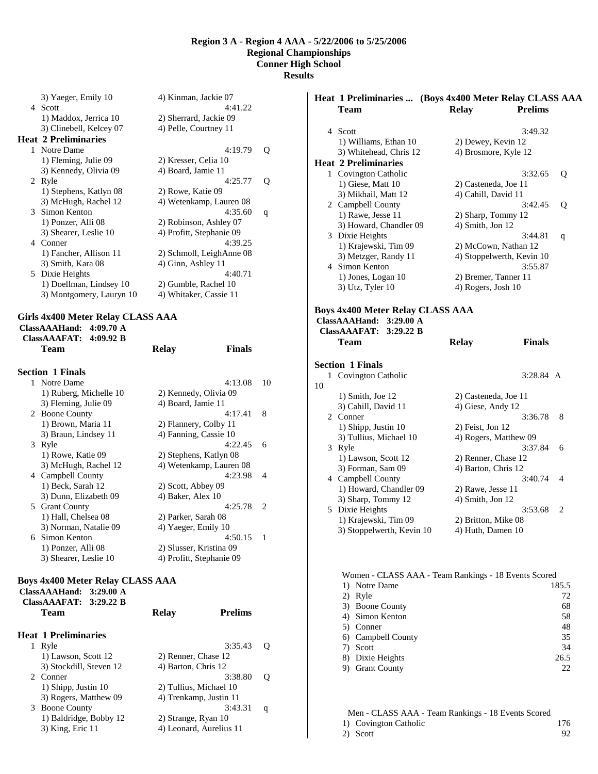|    | 3) Yaeger, Emily 10         | 4) Kinman, Jackie 07     |   |
|----|-----------------------------|--------------------------|---|
|    | 4 Scott                     | 4:41.22                  |   |
|    | 1) Maddox, Jerrica 10       | 2) Sherrard, Jackie 09   |   |
|    | 3) Clinebell, Kelcey 07     | 4) Pelle, Courtney 11    |   |
|    | <b>Heat 2 Preliminaries</b> |                          |   |
|    | 1 Notre Dame                | 4:19.79                  | Q |
|    | 1) Fleming, Julie 09        | 2) Kresser, Celia 10     |   |
|    | 3) Kennedy, Olivia 09       | 4) Board, Jamie 11       |   |
|    | 2 Ryle                      | 4:25.77                  | 0 |
|    | 1) Stephens, Katlyn 08      | 2) Rowe, Katie 09        |   |
|    | 3) McHugh, Rachel 12        | 4) Wetenkamp, Lauren 08  |   |
|    | 3 Simon Kenton              | 4:35.60                  | q |
|    | 1) Ponzer, Alli 08          | 2) Robinson, Ashley 07   |   |
|    | 3) Shearer, Leslie 10       | 4) Profitt, Stephanie 09 |   |
| 4  | Conner                      | 4:39.25                  |   |
|    | 1) Fancher, Allison 11      | 2) Schmoll, LeighAnne 08 |   |
|    | 3) Smith, Kara 08           | 4) Ginn, Ashley 11       |   |
| 5. | Dixie Heights               | 4:40.71                  |   |
|    | 1) Doellman, Lindsey 10     | 2) Gumble, Rachel 10     |   |
|    | 3) Montgomery, Lauryn 10    | 4) Whitaker, Cassie 11   |   |
|    |                             |                          |   |

# **Girls 4x400 Meter Relay CLASS AAA**

**ClassAAAHand: 4:09.70 A ClassAAAFAT: 4:09.92 B** 

|               | Team                    | <b>Relay</b>             | <b>Finals</b>           |                             |
|---------------|-------------------------|--------------------------|-------------------------|-----------------------------|
|               | <b>Section 1 Finals</b> |                          |                         |                             |
|               | 1 Notre Dame            |                          | 4:13.08                 | 10                          |
|               | 1) Ruberg, Michelle 10  | 2) Kennedy, Olivia 09    |                         |                             |
|               | 3) Fleming, Julie 09    | 4) Board, Jamie 11       |                         |                             |
| $\mathcal{L}$ | <b>Boone County</b>     |                          | 4:17.41                 | 8                           |
|               | 1) Brown, Maria 11      | 2) Flannery, Colby 11    |                         |                             |
|               | 3) Braun, Lindsey 11    | 4) Fanning, Cassie 10    |                         |                             |
|               | 3 Ryle                  |                          | 4:22.45                 | 6                           |
|               | 1) Rowe, Katie 09       | 2) Stephens, Katlyn 08   |                         |                             |
|               | 3) McHugh, Rachel 12    |                          | 4) Wetenkamp, Lauren 08 |                             |
|               | 4 Campbell County       |                          | 4:23.98                 | $\overline{\mathcal{A}}$    |
|               | 1) Beck, Sarah 12       | 2) Scott, Abbey 09       |                         |                             |
|               | 3) Dunn, Elizabeth 09   | 4) Baker, Alex 10        |                         |                             |
| 5             | <b>Grant County</b>     |                          | 4:25.78                 | $\mathcal{D}_{\mathcal{A}}$ |
|               | 1) Hall, Chelsea 08     | 2) Parker, Sarah 08      |                         |                             |
|               | 3) Norman, Natalie 09   | 4) Yaeger, Emily 10      |                         |                             |
|               | 6 Simon Kenton          |                          | 4:50.15                 | 1                           |
|               | 1) Ponzer, Alli 08      | 2) Slusser, Kristina 09  |                         |                             |
|               | 3) Shearer, Leslie 10   | 4) Profitt, Stephanie 09 |                         |                             |
|               |                         |                          |                         |                             |

#### **Boys 4x400 Meter Relay CLASS AAA**

| <b>Prelims</b><br>Team<br>Relay                      |   |
|------------------------------------------------------|---|
| <b>Heat 1 Preliminaries</b>                          |   |
| 3:35.43<br>Ryle<br>1                                 | Ő |
| 1) Lawson, Scott 12<br>2) Renner, Chase 12           |   |
| 3) Stockdill, Steven 12<br>4) Barton, Chris 12       |   |
| 3:38.80<br>2. Conner                                 | O |
| 2) Tullius, Michael 10<br>$(1)$ Shipp, Justin $(10)$ |   |
| 3) Rogers, Matthew 09<br>4) Trenkamp, Justin 11      |   |
| 3:43.31<br><b>Boone County</b><br>3                  | q |
| 1) Baldridge, Bobby 12<br>2) Strange, Ryan 10        |   |
| 3) King, Eric 11<br>4) Leonard, Aurelius 11          |   |

|    |                                          | Heat 1 Preliminaries  (Boys 4x400 Meter Relay CLASS AAA |   |
|----|------------------------------------------|---------------------------------------------------------|---|
|    | <b>Team</b>                              | <b>Relay</b><br><b>Prelims</b>                          |   |
|    | 4 Scott                                  | 3:49.32                                                 |   |
|    | 1) Williams, Ethan 10                    | 2) Dewey, Kevin 12                                      |   |
|    | 3) Whitehead, Chris 12                   | 4) Brosmore, Kyle 12                                    |   |
|    | <b>Heat 2 Preliminaries</b>              |                                                         |   |
|    | 1 Covington Catholic                     | 3:32.65                                                 | Q |
|    | 1) Giese, Matt 10                        | 2) Casteneda, Joe 11                                    |   |
|    | 3) Mikhail, Matt 12                      | 4) Cahill, David 11                                     |   |
|    | 2 Campbell County                        | 3:42.45                                                 | Q |
|    | 1) Rawe, Jesse 11                        | 2) Sharp, Tommy 12                                      |   |
|    | 3) Howard, Chandler 09                   | 4) Smith, Jon 12                                        |   |
|    | 3 Dixie Heights                          | 3:44.81                                                 | q |
|    | 1) Krajewski, Tim 09                     | 2) McCown, Nathan 12                                    |   |
|    | 3) Metzger, Randy 11                     | 4) Stoppelwerth, Kevin 10                               |   |
|    | 4 Simon Kenton                           | 3:55.87                                                 |   |
|    | 1) Jones, Logan 10                       | 2) Bremer, Tanner 11                                    |   |
|    | 3) Utz, Tyler 10                         | 4) Rogers, Josh 10                                      |   |
|    |                                          |                                                         |   |
|    | <b>ClassAAAFAT:</b><br>3:29.22 B<br>Team | <b>Finals</b><br><b>Relay</b>                           |   |
|    | <b>Section 1 Finals</b>                  |                                                         |   |
| 1  | <b>Covington Catholic</b>                | 3:28.84 A                                               |   |
| 10 |                                          |                                                         |   |
|    | 1) Smith, Joe 12                         | 2) Casteneda, Joe 11                                    |   |
|    | 3) Cahill, David 11                      | 4) Giese, Andy 12                                       |   |
|    | 2 Conner                                 | 3:36.78                                                 | 8 |
|    | 1) Shipp, Justin 10                      | 2) Feist, Jon 12                                        |   |
|    | 3) Tullius, Michael 10                   | 4) Rogers, Matthew 09                                   |   |
|    | 3 Ryle                                   | 3:37.84                                                 | 6 |
|    | 1) Lawson, Scott 12                      | 2) Renner, Chase 12                                     |   |
|    | 3) Forman, Sam 09                        | 4) Barton, Chris 12                                     |   |
|    | 4 Campbell County                        | 3:40.74                                                 | 4 |
|    | 1) Howard, Chandler 09                   | 2) Rawe, Jesse 11                                       |   |
|    | 3) Sharp, Tommy 12                       | 4) Smith, Jon 12                                        |   |
|    | 5 Dixie Heights                          | 3:53.68                                                 | 2 |
|    | 1) Krajewski, Tim 09                     | 2) Britton, Mike 08                                     |   |
|    | 3) Stoppelwerth, Kevin 10                | 4) Huth, Damen 10                                       |   |
|    |                                          |                                                         |   |
|    |                                          | Women - CLASS AAA - Team Rankings - 18 Events Scored    |   |
|    |                                          |                                                         |   |

|    | 1) Notre Dame       | 185.5 |
|----|---------------------|-------|
| 2) | Ryle                | 72    |
|    | 3) Boone County     | 68    |
|    | 4) Simon Kenton     | 58    |
|    | 5) Conner           | 48    |
|    | 6) Campbell County  | 35    |
| 7) | Scott               | 34    |
|    | 8) Dixie Heights    | 26.5  |
|    | <b>Grant County</b> | 22    |

| Men - CLASS AAA - Team Rankings - 18 Events Scored |                       |     |
|----------------------------------------------------|-----------------------|-----|
|                                                    | 1) Covington Catholic | 176 |
|                                                    | 2) Scott              | 92. |